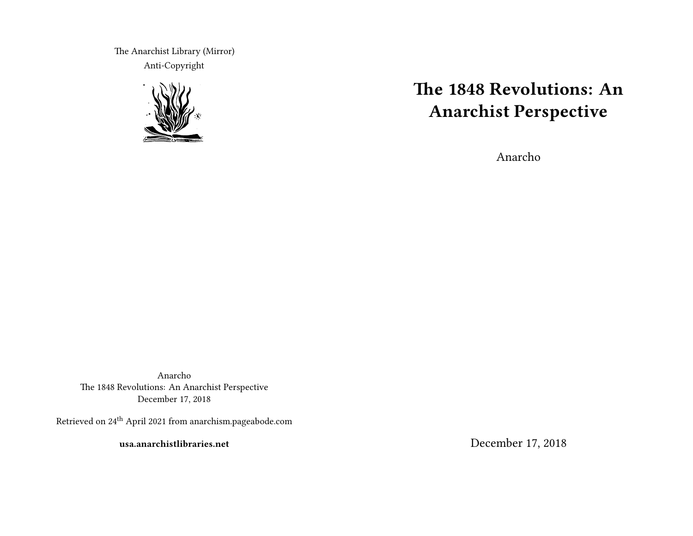The Anarchist Library (Mirror) Anti-Copyright



# **The 1848 Revolutions: An Anarchist Perspective**

Anarcho

Anarcho The 1848 Revolutions: An Anarchist Perspective December 17, 2018

Retrieved on 24<sup>th</sup> April 2021 from anarchism.pageabode.com

**usa.anarchistlibraries.net**

December 17, 2018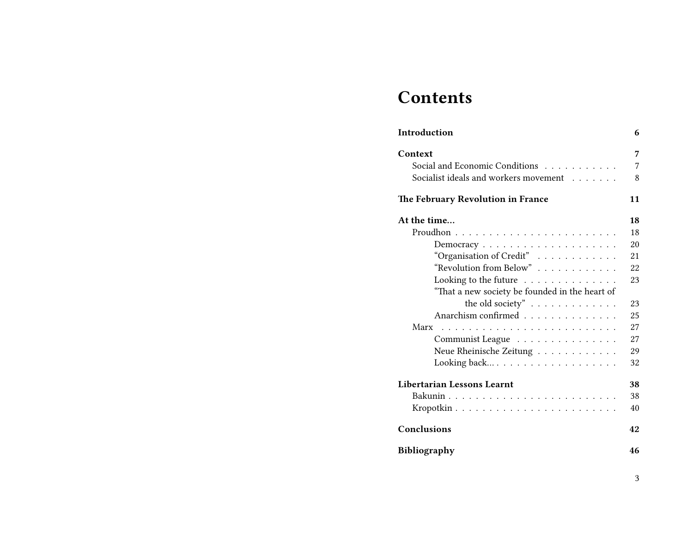# **Contents**

| Introduction                                   | 6  |
|------------------------------------------------|----|
| Context                                        | 7  |
| Social and Economic Conditions                 | 7  |
| Socialist ideals and workers movement          | 8  |
| The February Revolution in France              | 11 |
| At the time                                    | 18 |
|                                                | 18 |
|                                                | 20 |
| "Organisation of Credit"                       | 21 |
| "Revolution from Below"                        | 22 |
| Looking to the future                          | 23 |
| "That a new society be founded in the heart of |    |
| the old society" $\ldots \ldots \ldots \ldots$ | 23 |
| Anarchism confirmed                            | 25 |
|                                                | 27 |
| Communist League                               | 27 |
| Neue Rheinische Zeitung                        | 29 |
|                                                | 32 |
| Libertarian Lessons Learnt                     | 38 |
|                                                | 38 |
|                                                | 40 |
| Conclusions                                    | 42 |
| <b>Bibliography</b>                            | 46 |

3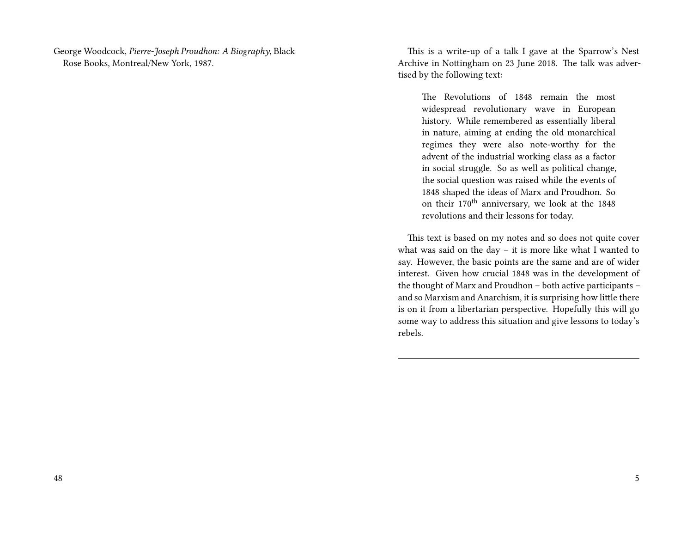George Woodcock, *Pierre-Joseph Proudhon: A Biography*, Black Rose Books, Montreal/New York, 1987.

This is a write-up of a talk I gave at the Sparrow's Nest Archive in Nottingham on 23 June 2018. The talk was advertised by the following text:

The Revolutions of 1848 remain the most widespread revolutionary wave in European history. While remembered as essentially liberal in nature, aiming at ending the old monarchical regimes they were also note-worthy for the advent of the industrial working class as a factor in social struggle. So as well as political change, the social question was raised while the events of 1848 shaped the ideas of Marx and Proudhon. So on their 170<sup>th</sup> anniversary, we look at the 1848 revolutions and their lessons for today.

This text is based on my notes and so does not quite cover what was said on the day – it is more like what I wanted to say. However, the basic points are the same and are of wider interest. Given how crucial 1848 was in the development of the thought of Marx and Proudhon – both active participants – and so Marxism and Anarchism, it is surprising how little there is on it from a libertarian perspective. Hopefully this will go some way to address this situation and give lessons to today's rebels.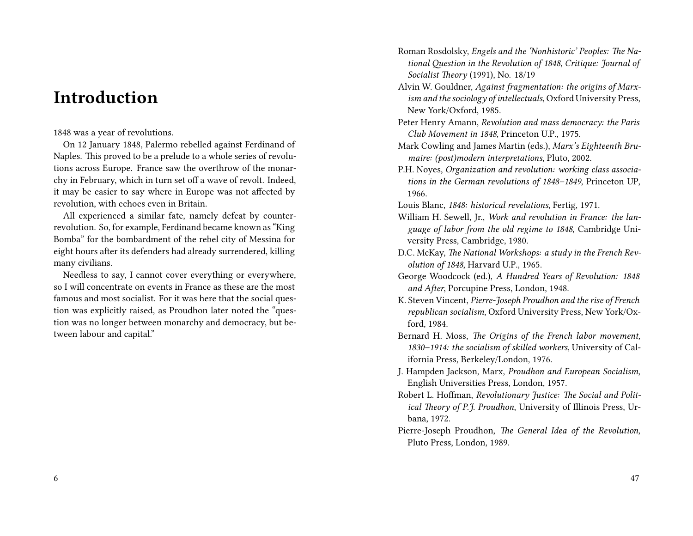# **Introduction**

### 1848 was a year of revolutions.

On 12 January 1848, Palermo rebelled against Ferdinand of Naples. This proved to be a prelude to a whole series of revolutions across Europe. France saw the overthrow of the monarchy in February, which in turn set off a wave of revolt. Indeed, it may be easier to say where in Europe was not affected by revolution, with echoes even in Britain.

All experienced a similar fate, namely defeat by counterrevolution. So, for example, Ferdinand became known as "King Bomba" for the bombardment of the rebel city of Messina for eight hours after its defenders had already surrendered, killing many civilians.

Needless to say, I cannot cover everything or everywhere, so I will concentrate on events in France as these are the most famous and most socialist. For it was here that the social question was explicitly raised, as Proudhon later noted the "question was no longer between monarchy and democracy, but between labour and capital."

- Roman Rosdolsky, *Engels and the 'Nonhistoric' Peoples: The National Question in the Revolution of 1848*, *Critique: Journal of Socialist Theory* (1991), No. 18/19
- Alvin W. Gouldner, *Against fragmentation: the origins of Marxism and the sociology of intellectuals*, Oxford University Press, New York/Oxford, 1985.
- Peter Henry Amann, *Revolution and mass democracy: the Paris Club Movement in 1848*, Princeton U.P., 1975.
- Mark Cowling and James Martin (eds.), *Marx's Eighteenth Brumaire: (post)modern interpretations*, Pluto, 2002.
- P.H. Noyes, *Organization and revolution: working class associations in the German revolutions of 1848–1849*, Princeton UP, 1966.
- Louis Blanc, *1848: historical revelations*, Fertig, 1971.
- William H. Sewell, Jr., *Work and revolution in France: the language of labor from the old regime to 1848*, Cambridge University Press, Cambridge, 1980.
- D.C. McKay, *The National Workshops: a study in the French Revolution of 1848*, Harvard U.P., 1965.
- George Woodcock (ed.), *A Hundred Years of Revolution: 1848 and After*, Porcupine Press, London, 1948.
- K. Steven Vincent, *Pierre-Joseph Proudhon and the rise of French republican socialism*, Oxford University Press, New York/Oxford, 1984.
- Bernard H. Moss, *The Origins of the French labor movement, 1830–1914: the socialism of skilled workers*, University of California Press, Berkeley/London, 1976.
- J. Hampden Jackson, Marx, *Proudhon and European Socialism*, English Universities Press, London, 1957.
- Robert L. Hoffman, *Revolutionary Justice: The Social and Political Theory of P.J. Proudhon*, University of Illinois Press, Urbana, 1972.
- Pierre-Joseph Proudhon, *The General Idea of the Revolution*, Pluto Press, London, 1989.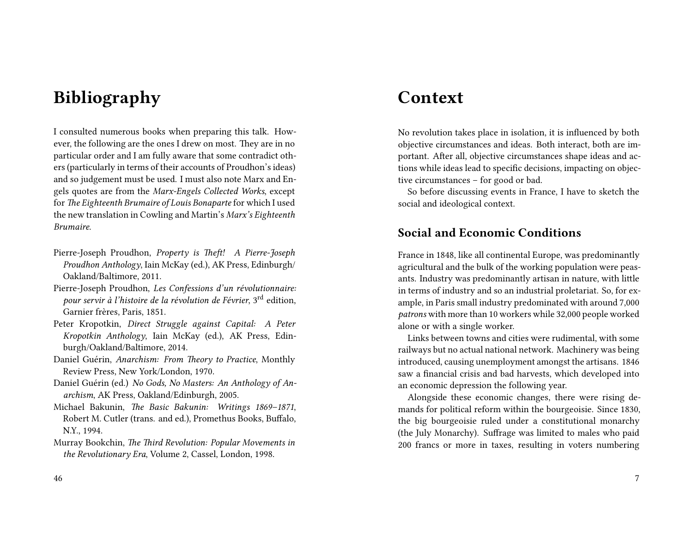# **Bibliography**

I consulted numerous books when preparing this talk. However, the following are the ones I drew on most. They are in no particular order and I am fully aware that some contradict others (particularly in terms of their accounts of Proudhon's ideas) and so judgement must be used. I must also note Marx and Engels quotes are from the *Marx-Engels Collected Works*, except for *The Eighteenth Brumaire of Louis Bonaparte* for which I used the new translation in Cowling and Martin's *Marx's Eighteenth Brumaire*.

- Pierre-Joseph Proudhon, *Property is Theft! A Pierre-Joseph Proudhon Anthology*, Iain McKay (ed.), AK Press, Edinburgh/ Oakland/Baltimore, 2011.
- Pierre-Joseph Proudhon, *Les Confessions d'un révolutionnaire: pour servir à l'histoire de la révolution de Février*, 3rd edition, Garnier frères, Paris, 1851.
- Peter Kropotkin, *Direct Struggle against Capital: A Peter Kropotkin Anthology*, Iain McKay (ed.), AK Press, Edinburgh/Oakland/Baltimore, 2014.
- Daniel Guérin, *Anarchism: From Theory to Practice*, Monthly Review Press, New York/London, 1970.
- Daniel Guérin (ed.) *No Gods, No Masters: An Anthology of Anarchism*, AK Press, Oakland/Edinburgh, 2005.
- Michael Bakunin, *The Basic Bakunin: Writings 1869–1871*, Robert M. Cutler (trans. and ed.), Promethus Books, Buffalo, N.Y., 1994.
- Murray Bookchin, *The Third Revolution: Popular Movements in the Revolutionary Era*, Volume 2, Cassel, London, 1998.

# **Context**

No revolution takes place in isolation, it is influenced by both objective circumstances and ideas. Both interact, both are important. After all, objective circumstances shape ideas and actions while ideas lead to specific decisions, impacting on objective circumstances – for good or bad.

So before discussing events in France, I have to sketch the social and ideological context.

### **Social and Economic Conditions**

France in 1848, like all continental Europe, was predominantly agricultural and the bulk of the working population were peasants. Industry was predominantly artisan in nature, with little in terms of industry and so an industrial proletariat. So, for example, in Paris small industry predominated with around 7,000 *patrons* with more than 10 workers while 32,000 people worked alone or with a single worker.

Links between towns and cities were rudimental, with some railways but no actual national network. Machinery was being introduced, causing unemployment amongst the artisans. 1846 saw a financial crisis and bad harvests, which developed into an economic depression the following year.

Alongside these economic changes, there were rising demands for political reform within the bourgeoisie. Since 1830, the big bourgeoisie ruled under a constitutional monarchy (the July Monarchy). Suffrage was limited to males who paid 200 francs or more in taxes, resulting in voters numbering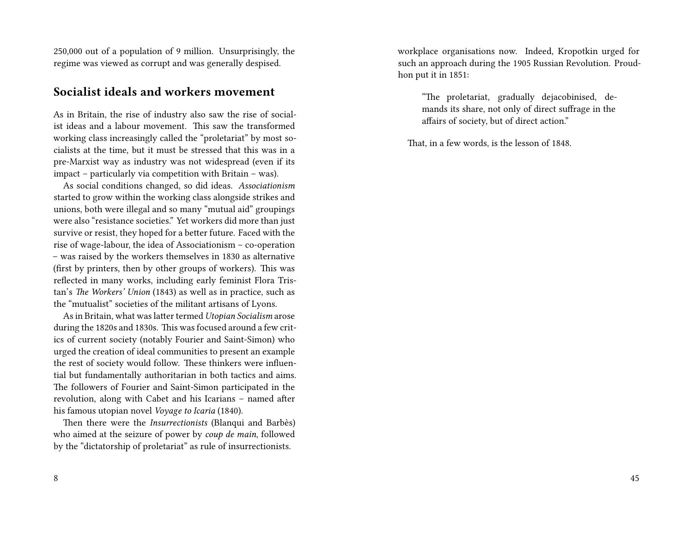250,000 out of a population of 9 million. Unsurprisingly, the regime was viewed as corrupt and was generally despised.

### **Socialist ideals and workers movement**

As in Britain, the rise of industry also saw the rise of socialist ideas and a labour movement. This saw the transformed working class increasingly called the "proletariat" by most socialists at the time, but it must be stressed that this was in a pre-Marxist way as industry was not widespread (even if its impact – particularly via competition with Britain – was).

As social conditions changed, so did ideas. *Associationism* started to grow within the working class alongside strikes and unions, both were illegal and so many "mutual aid" groupings were also "resistance societies." Yet workers did more than just survive or resist, they hoped for a better future. Faced with the rise of wage-labour, the idea of Associationism – co-operation – was raised by the workers themselves in 1830 as alternative (first by printers, then by other groups of workers). This was reflected in many works, including early feminist Flora Tristan's *The Workers' Union* (1843) as well as in practice, such as the "mutualist" societies of the militant artisans of Lyons.

As in Britain, what was latter termed *Utopian Socialism* arose during the 1820s and 1830s. This was focused around a few critics of current society (notably Fourier and Saint-Simon) who urged the creation of ideal communities to present an example the rest of society would follow. These thinkers were influential but fundamentally authoritarian in both tactics and aims. The followers of Fourier and Saint-Simon participated in the revolution, along with Cabet and his Icarians – named after his famous utopian novel *Voyage to Icaria* (1840).

Then there were the *Insurrectionists* (Blanqui and Barbès) who aimed at the seizure of power by *coup de main*, followed by the "dictatorship of proletariat" as rule of insurrectionists.

workplace organisations now. Indeed, Kropotkin urged for such an approach during the 1905 Russian Revolution. Proudhon put it in 1851:

> "The proletariat, gradually dejacobinised, demands its share, not only of direct suffrage in the affairs of society, but of direct action."

That, in a few words, is the lesson of 1848.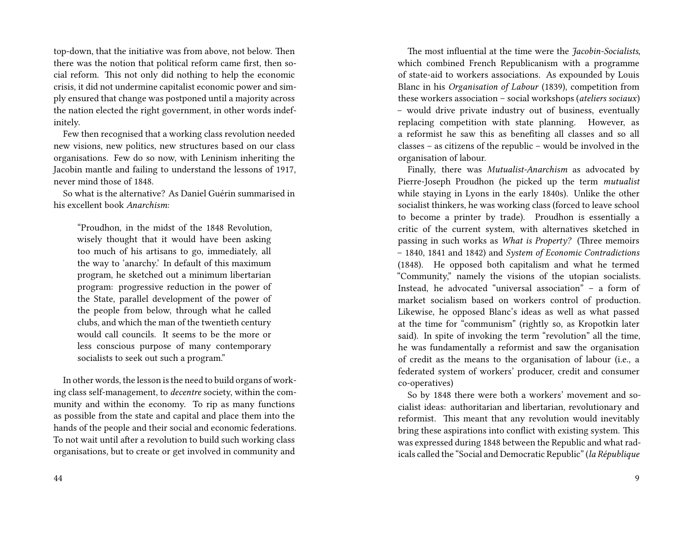top-down, that the initiative was from above, not below. Then there was the notion that political reform came first, then social reform. This not only did nothing to help the economic crisis, it did not undermine capitalist economic power and simply ensured that change was postponed until a majority across the nation elected the right government, in other words indefinitely.

Few then recognised that a working class revolution needed new visions, new politics, new structures based on our class organisations. Few do so now, with Leninism inheriting the Jacobin mantle and failing to understand the lessons of 1917, never mind those of 1848.

So what is the alternative? As Daniel Guérin summarised in his excellent book *Anarchism*:

"Proudhon, in the midst of the 1848 Revolution, wisely thought that it would have been asking too much of his artisans to go, immediately, all the way to 'anarchy.' In default of this maximum program, he sketched out a minimum libertarian program: progressive reduction in the power of the State, parallel development of the power of the people from below, through what he called clubs, and which the man of the twentieth century would call councils. It seems to be the more or less conscious purpose of many contemporary socialists to seek out such a program."

In other words, the lesson is the need to build organs of working class self-management, to *decentre* society, within the community and within the economy. To rip as many functions as possible from the state and capital and place them into the hands of the people and their social and economic federations. To not wait until after a revolution to build such working class organisations, but to create or get involved in community and

The most influential at the time were the *Jacobin-Socialists*, which combined French Republicanism with a programme of state-aid to workers associations. As expounded by Louis Blanc in his *Organisation of Labour* (1839), competition from these workers association – social workshops (*ateliers sociaux*) – would drive private industry out of business, eventually replacing competition with state planning. However, as a reformist he saw this as benefiting all classes and so all classes – as citizens of the republic – would be involved in the organisation of labour.

Finally, there was *Mutualist-Anarchism* as advocated by Pierre-Joseph Proudhon (he picked up the term *mutualist* while staying in Lyons in the early 1840s). Unlike the other socialist thinkers, he was working class (forced to leave school to become a printer by trade). Proudhon is essentially a critic of the current system, with alternatives sketched in passing in such works as *What is Property?* (Three memoirs – 1840, 1841 and 1842) and *System of Economic Contradictions* (1848). He opposed both capitalism and what he termed "Community," namely the visions of the utopian socialists. Instead, he advocated "universal association" – a form of market socialism based on workers control of production. Likewise, he opposed Blanc's ideas as well as what passed at the time for "communism" (rightly so, as Kropotkin later said). In spite of invoking the term "revolution" all the time, he was fundamentally a reformist and saw the organisation of credit as the means to the organisation of labour (i.e., a federated system of workers' producer, credit and consumer co-operatives)

So by 1848 there were both a workers' movement and socialist ideas: authoritarian and libertarian, revolutionary and reformist. This meant that any revolution would inevitably bring these aspirations into conflict with existing system. This was expressed during 1848 between the Republic and what radicals called the "Social and Democratic Republic" (*la République*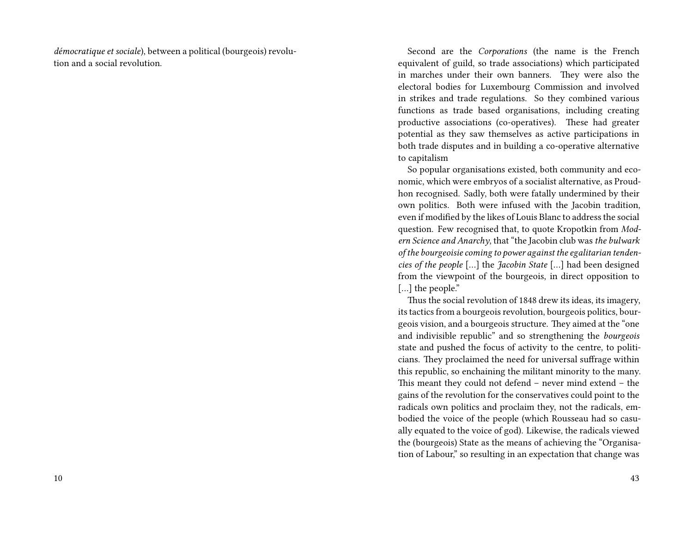*démocratique et sociale*), between a political (bourgeois) revolution and a social revolution.

Second are the *Corporations* (the name is the French equivalent of guild, so trade associations) which participated in marches under their own banners. They were also the electoral bodies for Luxembourg Commission and involved in strikes and trade regulations. So they combined various functions as trade based organisations, including creating productive associations (co-operatives). These had greater potential as they saw themselves as active participations in both trade disputes and in building a co-operative alternative to capitalism

So popular organisations existed, both community and economic, which were embryos of a socialist alternative, as Proudhon recognised. Sadly, both were fatally undermined by their own politics. Both were infused with the Jacobin tradition, even if modified by the likes of Louis Blanc to address the social question. Few recognised that, to quote Kropotkin from *Modern Science and Anarchy*, that "the Jacobin club was *the bulwark of the bourgeoisie coming to power against the egalitarian tendencies of the people* […] the *Jacobin State* […] had been designed from the viewpoint of the bourgeois, in direct opposition to [...] the people."

Thus the social revolution of 1848 drew its ideas, its imagery, its tactics from a bourgeois revolution, bourgeois politics, bourgeois vision, and a bourgeois structure. They aimed at the "one and indivisible republic" and so strengthening the *bourgeois* state and pushed the focus of activity to the centre, to politicians. They proclaimed the need for universal suffrage within this republic, so enchaining the militant minority to the many. This meant they could not defend – never mind extend – the gains of the revolution for the conservatives could point to the radicals own politics and proclaim they, not the radicals, embodied the voice of the people (which Rousseau had so casually equated to the voice of god). Likewise, the radicals viewed the (bourgeois) State as the means of achieving the "Organisation of Labour," so resulting in an expectation that change was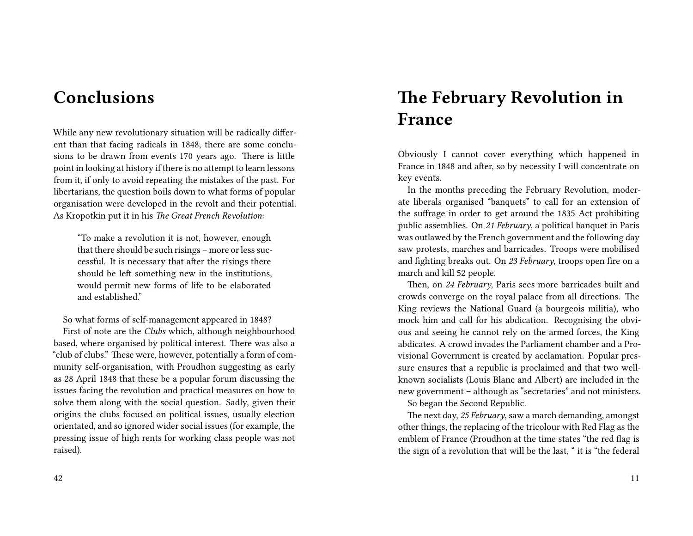# **Conclusions**

While any new revolutionary situation will be radically different than that facing radicals in 1848, there are some conclusions to be drawn from events 170 years ago. There is little point in looking at history if there is no attempt to learn lessons from it, if only to avoid repeating the mistakes of the past. For libertarians, the question boils down to what forms of popular organisation were developed in the revolt and their potential. As Kropotkin put it in his *The Great French Revolution*:

"To make a revolution it is not, however, enough that there should be such risings – more or less successful. It is necessary that after the risings there should be left something new in the institutions, would permit new forms of life to be elaborated and established."

So what forms of self-management appeared in 1848?

First of note are the *Clubs* which, although neighbourhood based, where organised by political interest. There was also a "club of clubs." These were, however, potentially a form of community self-organisation, with Proudhon suggesting as early as 28 April 1848 that these be a popular forum discussing the issues facing the revolution and practical measures on how to solve them along with the social question. Sadly, given their origins the clubs focused on political issues, usually election orientated, and so ignored wider social issues (for example, the pressing issue of high rents for working class people was not raised).

**The February Revolution in France**

Obviously I cannot cover everything which happened in France in 1848 and after, so by necessity I will concentrate on key events.

In the months preceding the February Revolution, moderate liberals organised "banquets" to call for an extension of the suffrage in order to get around the 1835 Act prohibiting public assemblies. On *21 February*, a political banquet in Paris was outlawed by the French government and the following day saw protests, marches and barricades. Troops were mobilised and fighting breaks out. On *23 February*, troops open fire on a march and kill 52 people.

Then, on *24 February*, Paris sees more barricades built and crowds converge on the royal palace from all directions. The King reviews the National Guard (a bourgeois militia), who mock him and call for his abdication. Recognising the obvious and seeing he cannot rely on the armed forces, the King abdicates. A crowd invades the Parliament chamber and a Provisional Government is created by acclamation. Popular pressure ensures that a republic is proclaimed and that two wellknown socialists (Louis Blanc and Albert) are included in the new government – although as "secretaries" and not ministers. So began the Second Republic.

The next day, *25 February*, saw a march demanding, amongst other things, the replacing of the tricolour with Red Flag as the emblem of France (Proudhon at the time states "the red flag is the sign of a revolution that will be the last, " it is "the federal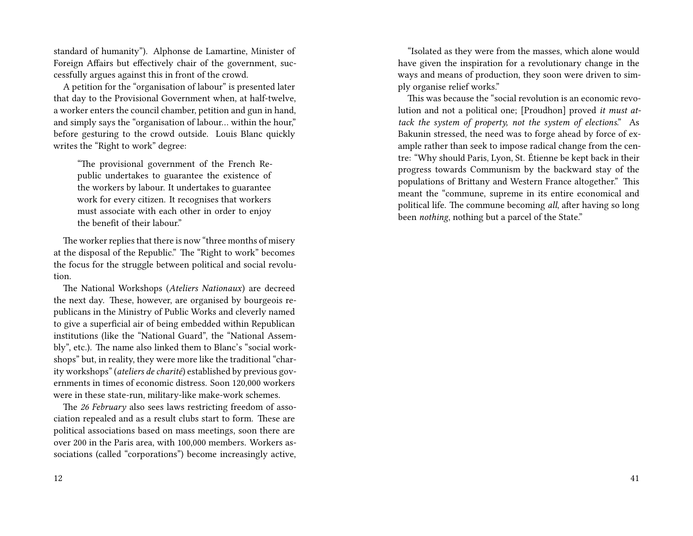standard of humanity"). Alphonse de Lamartine, Minister of Foreign Affairs but effectively chair of the government, successfully argues against this in front of the crowd.

A petition for the "organisation of labour" is presented later that day to the Provisional Government when, at half-twelve, a worker enters the council chamber, petition and gun in hand, and simply says the "organisation of labour… within the hour," before gesturing to the crowd outside. Louis Blanc quickly writes the "Right to work" degree:

"The provisional government of the French Republic undertakes to guarantee the existence of the workers by labour. It undertakes to guarantee work for every citizen. It recognises that workers must associate with each other in order to enjoy the benefit of their labour."

The worker replies that there is now "three months of misery at the disposal of the Republic." The "Right to work" becomes the focus for the struggle between political and social revolution.

The National Workshops (*Ateliers Nationaux*) are decreed the next day. These, however, are organised by bourgeois republicans in the Ministry of Public Works and cleverly named to give a superficial air of being embedded within Republican institutions (like the "National Guard", the "National Assembly", etc.). The name also linked them to Blanc's "social workshops" but, in reality, they were more like the traditional "charity workshops" (*ateliers de charité*) established by previous governments in times of economic distress. Soon 120,000 workers were in these state-run, military-like make-work schemes.

The *26 February* also sees laws restricting freedom of association repealed and as a result clubs start to form. These are political associations based on mass meetings, soon there are over 200 in the Paris area, with 100,000 members. Workers associations (called "corporations") become increasingly active,

"Isolated as they were from the masses, which alone would have given the inspiration for a revolutionary change in the ways and means of production, they soon were driven to simply organise relief works."

This was because the "social revolution is an economic revolution and not a political one; [Proudhon] proved *it must attack the system of property, not the system of elections*." As Bakunin stressed, the need was to forge ahead by force of example rather than seek to impose radical change from the centre: "Why should Paris, Lyon, St. Étienne be kept back in their progress towards Communism by the backward stay of the populations of Brittany and Western France altogether." This meant the "commune, supreme in its entire economical and political life. The commune becoming *all*, after having so long been *nothing*, nothing but a parcel of the State."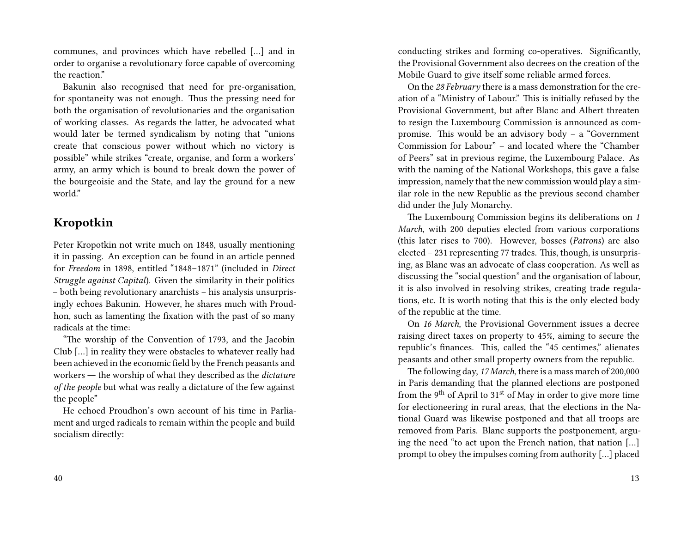communes, and provinces which have rebelled […] and in order to organise a revolutionary force capable of overcoming the reaction."

Bakunin also recognised that need for pre-organisation, for spontaneity was not enough. Thus the pressing need for both the organisation of revolutionaries and the organisation of working classes. As regards the latter, he advocated what would later be termed syndicalism by noting that "unions create that conscious power without which no victory is possible" while strikes "create, organise, and form a workers' army, an army which is bound to break down the power of the bourgeoisie and the State, and lay the ground for a new world."

### **Kropotkin**

Peter Kropotkin not write much on 1848, usually mentioning it in passing. An exception can be found in an article penned for *Freedom* in 1898, entitled "1848–1871" (included in *Direct Struggle against Capital*). Given the similarity in their politics – both being revolutionary anarchists – his analysis unsurprisingly echoes Bakunin. However, he shares much with Proudhon, such as lamenting the fixation with the past of so many radicals at the time:

"The worship of the Convention of 1793, and the Jacobin Club […] in reality they were obstacles to whatever really had been achieved in the economic field by the French peasants and workers ― the worship of what they described as the *dictature of the people* but what was really a dictature of the few against the people"

He echoed Proudhon's own account of his time in Parliament and urged radicals to remain within the people and build socialism directly:

conducting strikes and forming co-operatives. Significantly, the Provisional Government also decrees on the creation of the Mobile Guard to give itself some reliable armed forces.

On the *28 February* there is a mass demonstration for the creation of a "Ministry of Labour." This is initially refused by the Provisional Government, but after Blanc and Albert threaten to resign the Luxembourg Commission is announced as compromise. This would be an advisory body – a "Government Commission for Labour" – and located where the "Chamber of Peers" sat in previous regime, the Luxembourg Palace. As with the naming of the National Workshops, this gave a false impression, namely that the new commission would play a similar role in the new Republic as the previous second chamber did under the July Monarchy.

The Luxembourg Commission begins its deliberations on *1 March*, with 200 deputies elected from various corporations (this later rises to 700). However, bosses (*Patrons*) are also elected – 231 representing 77 trades. This, though, is unsurprising, as Blanc was an advocate of class cooperation. As well as discussing the "social question" and the organisation of labour, it is also involved in resolving strikes, creating trade regulations, etc. It is worth noting that this is the only elected body of the republic at the time.

On *16 March*, the Provisional Government issues a decree raising direct taxes on property to 45%, aiming to secure the republic's finances. This, called the "45 centimes," alienates peasants and other small property owners from the republic.

The following day, *17 March*, there is a mass march of 200,000 in Paris demanding that the planned elections are postponed from the 9<sup>th</sup> of April to  $31<sup>st</sup>$  of May in order to give more time for electioneering in rural areas, that the elections in the National Guard was likewise postponed and that all troops are removed from Paris. Blanc supports the postponement, arguing the need "to act upon the French nation, that nation […] prompt to obey the impulses coming from authority […] placed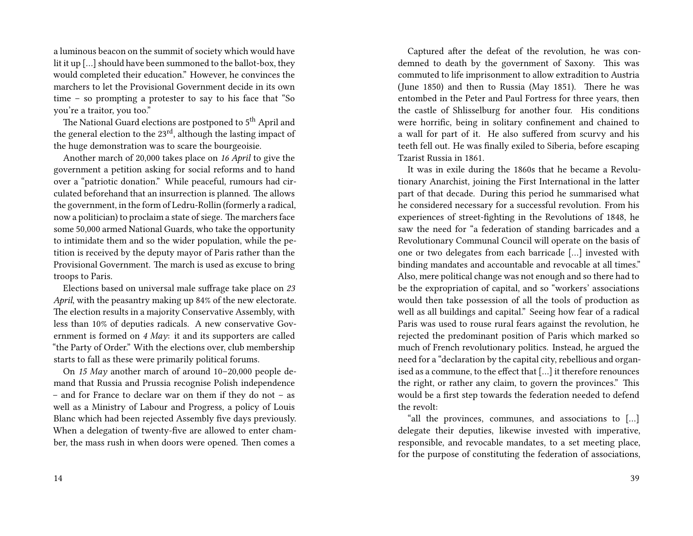a luminous beacon on the summit of society which would have lit it up […] should have been summoned to the ballot-box, they would completed their education." However, he convinces the marchers to let the Provisional Government decide in its own time – so prompting a protester to say to his face that "So you're a traitor, you too."

The National Guard elections are postponed to 5<sup>th</sup> April and the general election to the  $23<sup>rd</sup>$ , although the lasting impact of the huge demonstration was to scare the bourgeoisie.

Another march of 20,000 takes place on *16 April* to give the government a petition asking for social reforms and to hand over a "patriotic donation." While peaceful, rumours had circulated beforehand that an insurrection is planned. The allows the government, in the form of Ledru-Rollin (formerly a radical, now a politician) to proclaim a state of siege. The marchers face some 50,000 armed National Guards, who take the opportunity to intimidate them and so the wider population, while the petition is received by the deputy mayor of Paris rather than the Provisional Government. The march is used as excuse to bring troops to Paris.

Elections based on universal male suffrage take place on *23 April*, with the peasantry making up 84% of the new electorate. The election results in a majority Conservative Assembly, with less than 10% of deputies radicals. A new conservative Government is formed on *4 May*: it and its supporters are called "the Party of Order." With the elections over, club membership starts to fall as these were primarily political forums.

On *15 May* another march of around 10–20,000 people demand that Russia and Prussia recognise Polish independence – and for France to declare war on them if they do not – as well as a Ministry of Labour and Progress, a policy of Louis Blanc which had been rejected Assembly five days previously. When a delegation of twenty-five are allowed to enter chamber, the mass rush in when doors were opened. Then comes a

Captured after the defeat of the revolution, he was condemned to death by the government of Saxony. This was commuted to life imprisonment to allow extradition to Austria (June 1850) and then to Russia (May 1851). There he was entombed in the Peter and Paul Fortress for three years, then the castle of Shlisselburg for another four. His conditions were horrific, being in solitary confinement and chained to a wall for part of it. He also suffered from scurvy and his teeth fell out. He was finally exiled to Siberia, before escaping Tzarist Russia in 1861.

It was in exile during the 1860s that he became a Revolutionary Anarchist, joining the First International in the latter part of that decade. During this period he summarised what he considered necessary for a successful revolution. From his experiences of street-fighting in the Revolutions of 1848, he saw the need for "a federation of standing barricades and a Revolutionary Communal Council will operate on the basis of one or two delegates from each barricade […] invested with binding mandates and accountable and revocable at all times." Also, mere political change was not enough and so there had to be the expropriation of capital, and so "workers' associations would then take possession of all the tools of production as well as all buildings and capital." Seeing how fear of a radical Paris was used to rouse rural fears against the revolution, he rejected the predominant position of Paris which marked so much of French revolutionary politics. Instead, he argued the need for a "declaration by the capital city, rebellious and organised as a commune, to the effect that […] it therefore renounces the right, or rather any claim, to govern the provinces." This would be a first step towards the federation needed to defend the revolt:

"all the provinces, communes, and associations to […] delegate their deputies, likewise invested with imperative, responsible, and revocable mandates, to a set meeting place, for the purpose of constituting the federation of associations,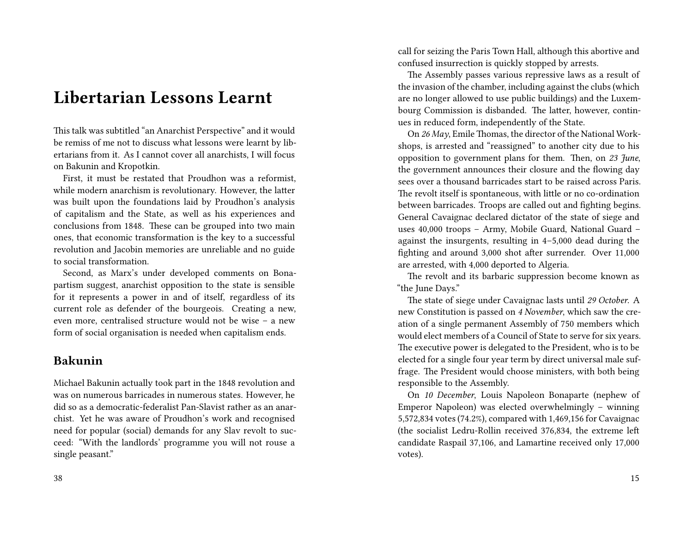# **Libertarian Lessons Learnt**

This talk was subtitled "an Anarchist Perspective" and it would be remiss of me not to discuss what lessons were learnt by libertarians from it. As I cannot cover all anarchists, I will focus on Bakunin and Kropotkin.

First, it must be restated that Proudhon was a reformist, while modern anarchism is revolutionary. However, the latter was built upon the foundations laid by Proudhon's analysis of capitalism and the State, as well as his experiences and conclusions from 1848. These can be grouped into two main ones, that economic transformation is the key to a successful revolution and Jacobin memories are unreliable and no guide to social transformation.

Second, as Marx's under developed comments on Bonapartism suggest, anarchist opposition to the state is sensible for it represents a power in and of itself, regardless of its current role as defender of the bourgeois. Creating a new, even more, centralised structure would not be wise – a new form of social organisation is needed when capitalism ends.

## **Bakunin**

Michael Bakunin actually took part in the 1848 revolution and was on numerous barricades in numerous states. However, he did so as a democratic-federalist Pan-Slavist rather as an anarchist. Yet he was aware of Proudhon's work and recognised need for popular (social) demands for any Slav revolt to succeed: "With the landlords' programme you will not rouse a single peasant."

call for seizing the Paris Town Hall, although this abortive and confused insurrection is quickly stopped by arrests.

The Assembly passes various repressive laws as a result of the invasion of the chamber, including against the clubs (which are no longer allowed to use public buildings) and the Luxembourg Commission is disbanded. The latter, however, continues in reduced form, independently of the State.

On *26 May*, Emile Thomas, the director of the National Workshops, is arrested and "reassigned" to another city due to his opposition to government plans for them. Then, on *23 June*, the government announces their closure and the flowing day sees over a thousand barricades start to be raised across Paris. The revolt itself is spontaneous, with little or no co-ordination between barricades. Troops are called out and fighting begins. General Cavaignac declared dictator of the state of siege and uses 40,000 troops – Army, Mobile Guard, National Guard – against the insurgents, resulting in 4–5,000 dead during the fighting and around 3,000 shot after surrender. Over 11,000 are arrested, with 4,000 deported to Algeria.

The revolt and its barbaric suppression become known as "the June Days."

The state of siege under Cavaignac lasts until *29 October*. A new Constitution is passed on *4 November*, which saw the creation of a single permanent Assembly of 750 members which would elect members of a Council of State to serve for six years. The executive power is delegated to the President, who is to be elected for a single four year term by direct universal male suffrage. The President would choose ministers, with both being responsible to the Assembly.

On *10 December*, Louis Napoleon Bonaparte (nephew of Emperor Napoleon) was elected overwhelmingly – winning 5,572,834 votes (74.2%), compared with 1,469,156 for Cavaignac (the socialist Ledru-Rollin received 376,834, the extreme left candidate Raspail 37,106, and Lamartine received only 17,000 votes).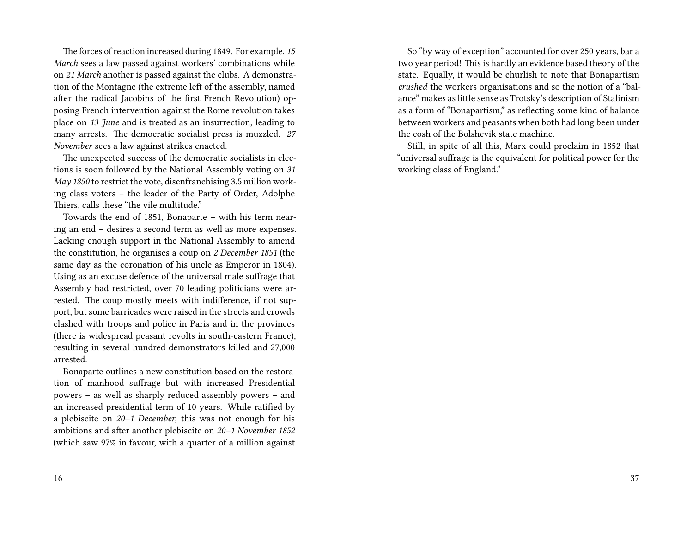The forces of reaction increased during 1849. For example, *15 March* sees a law passed against workers' combinations while on *21 March* another is passed against the clubs. A demonstration of the Montagne (the extreme left of the assembly, named after the radical Jacobins of the first French Revolution) opposing French intervention against the Rome revolution takes place on *13 June* and is treated as an insurrection, leading to many arrests. The democratic socialist press is muzzled. *27 November* sees a law against strikes enacted.

The unexpected success of the democratic socialists in elections is soon followed by the National Assembly voting on *31 May 1850* to restrict the vote, disenfranchising 3.5 million working class voters – the leader of the Party of Order, Adolphe Thiers, calls these "the vile multitude."

Towards the end of 1851, Bonaparte – with his term nearing an end – desires a second term as well as more expenses. Lacking enough support in the National Assembly to amend the constitution, he organises a coup on *2 December 1851* (the same day as the coronation of his uncle as Emperor in 1804). Using as an excuse defence of the universal male suffrage that Assembly had restricted, over 70 leading politicians were arrested. The coup mostly meets with indifference, if not support, but some barricades were raised in the streets and crowds clashed with troops and police in Paris and in the provinces (there is widespread peasant revolts in south-eastern France), resulting in several hundred demonstrators killed and 27,000 arrested.

Bonaparte outlines a new constitution based on the restoration of manhood suffrage but with increased Presidential powers – as well as sharply reduced assembly powers – and an increased presidential term of 10 years. While ratified by a plebiscite on *20–1 December*, this was not enough for his ambitions and after another plebiscite on *20–1 November 1852* (which saw 97% in favour, with a quarter of a million against

So "by way of exception" accounted for over 250 years, bar a two year period! This is hardly an evidence based theory of the state. Equally, it would be churlish to note that Bonapartism *crushed* the workers organisations and so the notion of a "balance" makes as little sense as Trotsky's description of Stalinism as a form of "Bonapartism," as reflecting some kind of balance between workers and peasants when both had long been under the cosh of the Bolshevik state machine.

Still, in spite of all this, Marx could proclaim in 1852 that "universal suffrage is the equivalent for political power for the working class of England."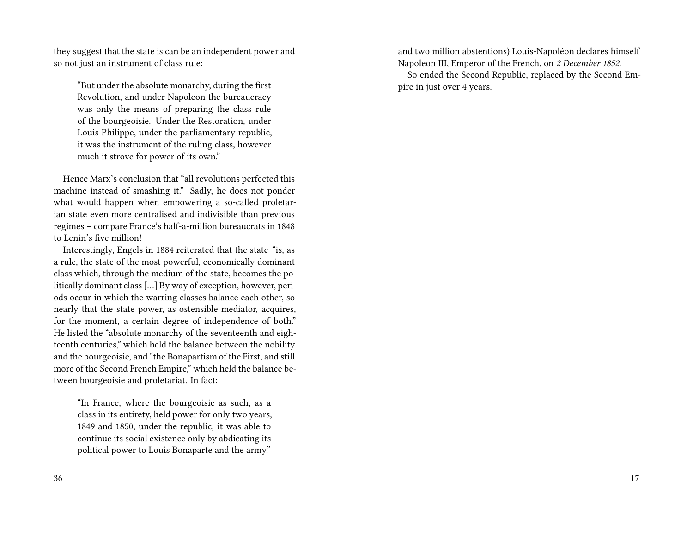they suggest that the state is can be an independent power and so not just an instrument of class rule:

"But under the absolute monarchy, during the first Revolution, and under Napoleon the bureaucracy was only the means of preparing the class rule of the bourgeoisie. Under the Restoration, under Louis Philippe, under the parliamentary republic, it was the instrument of the ruling class, however much it strove for power of its own."

Hence Marx's conclusion that "all revolutions perfected this machine instead of smashing it." Sadly, he does not ponder what would happen when empowering a so-called proletarian state even more centralised and indivisible than previous regimes – compare France's half-a-million bureaucrats in 1848 to Lenin's five million!

Interestingly, Engels in 1884 reiterated that the state *"*is, as a rule, the state of the most powerful, economically dominant class which, through the medium of the state, becomes the politically dominant class […] By way of exception, however, periods occur in which the warring classes balance each other, so nearly that the state power, as ostensible mediator, acquires, for the moment, a certain degree of independence of both." He listed the "absolute monarchy of the seventeenth and eighteenth centuries," which held the balance between the nobility and the bourgeoisie, and "the Bonapartism of the First, and still more of the Second French Empire," which held the balance between bourgeoisie and proletariat. In fact:

"In France, where the bourgeoisie as such, as a class in its entirety, held power for only two years, 1849 and 1850, under the republic, it was able to continue its social existence only by abdicating its political power to Louis Bonaparte and the army."

and two million abstentions) Louis-Napoléon declares himself Napoleon III, Emperor of the French, on *2 December 1852*. So ended the Second Republic, replaced by the Second Empire in just over 4 years.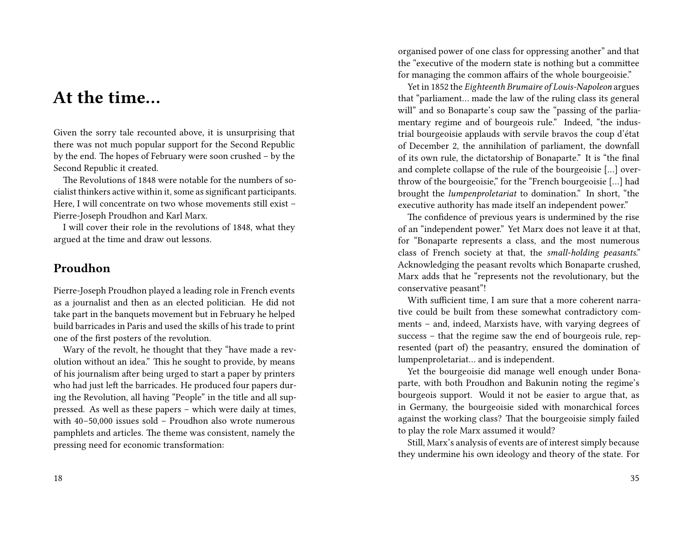# **At the time…**

Given the sorry tale recounted above, it is unsurprising that there was not much popular support for the Second Republic by the end. The hopes of February were soon crushed – by the Second Republic it created.

The Revolutions of 1848 were notable for the numbers of socialist thinkers active within it, some as significant participants. Here, I will concentrate on two whose movements still exist – Pierre-Joseph Proudhon and Karl Marx.

I will cover their role in the revolutions of 1848, what they argued at the time and draw out lessons.

### **Proudhon**

Pierre-Joseph Proudhon played a leading role in French events as a journalist and then as an elected politician. He did not take part in the banquets movement but in February he helped build barricades in Paris and used the skills of his trade to print one of the first posters of the revolution.

Wary of the revolt, he thought that they "have made a revolution without an idea." This he sought to provide, by means of his journalism after being urged to start a paper by printers who had just left the barricades. He produced four papers during the Revolution, all having "People" in the title and all suppressed. As well as these papers – which were daily at times, with 40–50,000 issues sold – Proudhon also wrote numerous pamphlets and articles. The theme was consistent, namely the pressing need for economic transformation:

organised power of one class for oppressing another" and that the "executive of the modern state is nothing but a committee for managing the common affairs of the whole bourgeoisie."

Yet in 1852 the *Eighteenth Brumaire of Louis-Napoleon* argues that "parliament… made the law of the ruling class its general will" and so Bonaparte's coup saw the "passing of the parliamentary regime and of bourgeois rule." Indeed, "the industrial bourgeoisie applauds with servile bravos the coup d'état of December 2, the annihilation of parliament, the downfall of its own rule, the dictatorship of Bonaparte." It is "the final and complete collapse of the rule of the bourgeoisie […] overthrow of the bourgeoisie," for the "French bourgeoisie […] had brought the *lumpenproletariat* to domination." In short, "the executive authority has made itself an independent power."

The confidence of previous years is undermined by the rise of an "independent power." Yet Marx does not leave it at that, for "Bonaparte represents a class, and the most numerous class of French society at that, the *small-holding peasants*." Acknowledging the peasant revolts which Bonaparte crushed, Marx adds that he "represents not the revolutionary, but the conservative peasant"!

With sufficient time, I am sure that a more coherent narrative could be built from these somewhat contradictory comments – and, indeed, Marxists have, with varying degrees of success – that the regime saw the end of bourgeois rule, represented (part of) the peasantry, ensured the domination of lumpenproletariat… and is independent.

Yet the bourgeoisie did manage well enough under Bonaparte, with both Proudhon and Bakunin noting the regime's bourgeois support. Would it not be easier to argue that, as in Germany, the bourgeoisie sided with monarchical forces against the working class? That the bourgeoisie simply failed to play the role Marx assumed it would?

Still, Marx's analysis of events are of interest simply because they undermine his own ideology and theory of the state. For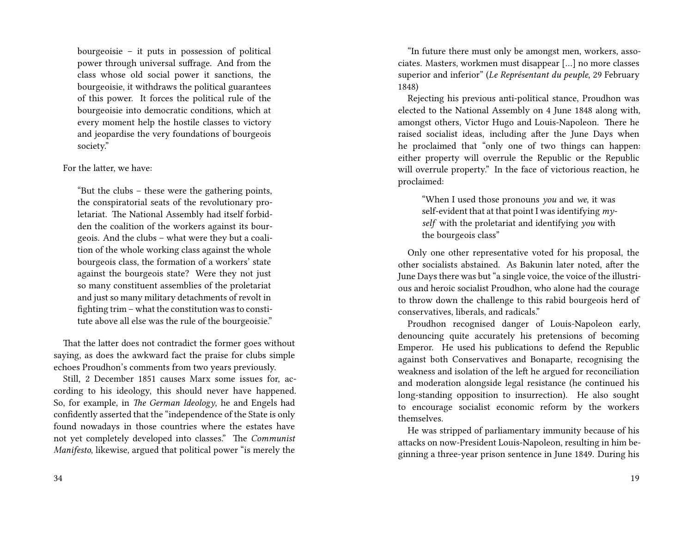bourgeoisie – it puts in possession of political power through universal suffrage. And from the class whose old social power it sanctions, the bourgeoisie, it withdraws the political guarantees of this power. It forces the political rule of the bourgeoisie into democratic conditions, which at every moment help the hostile classes to victory and jeopardise the very foundations of bourgeois society."

#### For the latter, we have:

"But the clubs – these were the gathering points, the conspiratorial seats of the revolutionary proletariat. The National Assembly had itself forbidden the coalition of the workers against its bourgeois. And the clubs – what were they but a coalition of the whole working class against the whole bourgeois class, the formation of a workers' state against the bourgeois state? Were they not just so many constituent assemblies of the proletariat and just so many military detachments of revolt in fighting trim – what the constitution was to constitute above all else was the rule of the bourgeoisie."

That the latter does not contradict the former goes without saying, as does the awkward fact the praise for clubs simple echoes Proudhon's comments from two years previously.

Still, 2 December 1851 causes Marx some issues for, according to his ideology, this should never have happened. So, for example, in *The German Ideology*, he and Engels had confidently asserted that the "independence of the State is only found nowadays in those countries where the estates have not yet completely developed into classes." The *Communist Manifesto*, likewise, argued that political power "is merely the

"In future there must only be amongst men, workers, associates. Masters, workmen must disappear […] no more classes superior and inferior" (*Le Représentant du peuple*, 29 February 1848)

Rejecting his previous anti-political stance, Proudhon was elected to the National Assembly on 4 June 1848 along with, amongst others, Victor Hugo and Louis-Napoleon. There he raised socialist ideas, including after the June Days when he proclaimed that "only one of two things can happen: either property will overrule the Republic or the Republic will overrule property." In the face of victorious reaction, he proclaimed:

"When I used those pronouns *you* and *we*, it was self-evident that at that point I was identifying *myself* with the proletariat and identifying *you* with the bourgeois class"

Only one other representative voted for his proposal, the other socialists abstained. As Bakunin later noted, after the June Days there was but "a single voice, the voice of the illustrious and heroic socialist Proudhon, who alone had the courage to throw down the challenge to this rabid bourgeois herd of conservatives, liberals, and radicals."

Proudhon recognised danger of Louis-Napoleon early, denouncing quite accurately his pretensions of becoming Emperor. He used his publications to defend the Republic against both Conservatives and Bonaparte, recognising the weakness and isolation of the left he argued for reconciliation and moderation alongside legal resistance (he continued his long-standing opposition to insurrection). He also sought to encourage socialist economic reform by the workers themselves.

He was stripped of parliamentary immunity because of his attacks on now-President Louis-Napoleon, resulting in him beginning a three-year prison sentence in June 1849. During his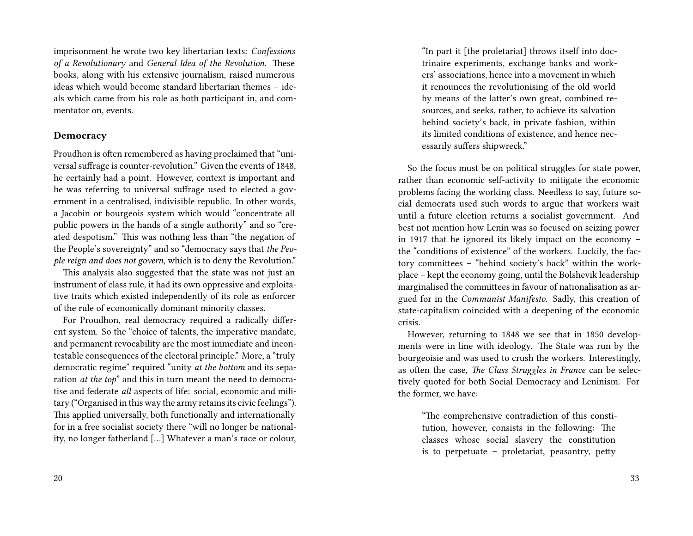imprisonment he wrote two key libertarian texts: *Confessions of a Revolutionary* and *General Idea of the Revolution*. These books, along with his extensive journalism, raised numerous ideas which would become standard libertarian themes – ideals which came from his role as both participant in, and commentator on, events.

#### **Democracy**

Proudhon is often remembered as having proclaimed that "universal suffrage is counter-revolution." Given the events of 1848, he certainly had a point. However, context is important and he was referring to universal suffrage used to elected a government in a centralised, indivisible republic. In other words, a Jacobin or bourgeois system which would "concentrate all public powers in the hands of a single authority" and so "created despotism." This was nothing less than "the negation of the People's sovereignty" and so "democracy says that *the People reign and does not govern*, which is to deny the Revolution."

This analysis also suggested that the state was not just an instrument of class rule, it had its own oppressive and exploitative traits which existed independently of its role as enforcer of the rule of economically dominant minority classes.

For Proudhon, real democracy required a radically different system. So the "choice of talents, the imperative mandate, and permanent revocability are the most immediate and incontestable consequences of the electoral principle." More, a "truly democratic regime" required "unity *at the bottom* and its separation *at the top*" and this in turn meant the need to democratise and federate *all* aspects of life: social, economic and military ("Organised in this way the army retains its civic feelings"). This applied universally, both functionally and internationally for in a free socialist society there "will no longer be nationality, no longer fatherland […] Whatever a man's race or colour,

"In part it [the proletariat] throws itself into doctrinaire experiments, exchange banks and workers' associations, hence into a movement in which it renounces the revolutionising of the old world by means of the latter's own great, combined resources, and seeks, rather, to achieve its salvation behind society's back, in private fashion, within its limited conditions of existence, and hence necessarily suffers shipwreck."

So the focus must be on political struggles for state power, rather than economic self-activity to mitigate the economic problems facing the working class. Needless to say, future social democrats used such words to argue that workers wait until a future election returns a socialist government. And best not mention how Lenin was so focused on seizing power in 1917 that he ignored its likely impact on the economy – the "conditions of existence" of the workers. Luckily, the factory committees – "behind society's back" within the workplace – kept the economy going, until the Bolshevik leadership marginalised the committees in favour of nationalisation as argued for in the *Communist Manifesto*. Sadly, this creation of state-capitalism coincided with a deepening of the economic crisis.

However, returning to 1848 we see that in 1850 developments were in line with ideology. The State was run by the bourgeoisie and was used to crush the workers. Interestingly, as often the case, *The Class Struggles in France* can be selectively quoted for both Social Democracy and Leninism. For the former, we have:

"The comprehensive contradiction of this constitution, however, consists in the following: The classes whose social slavery the constitution is to perpetuate – proletariat, peasantry, petty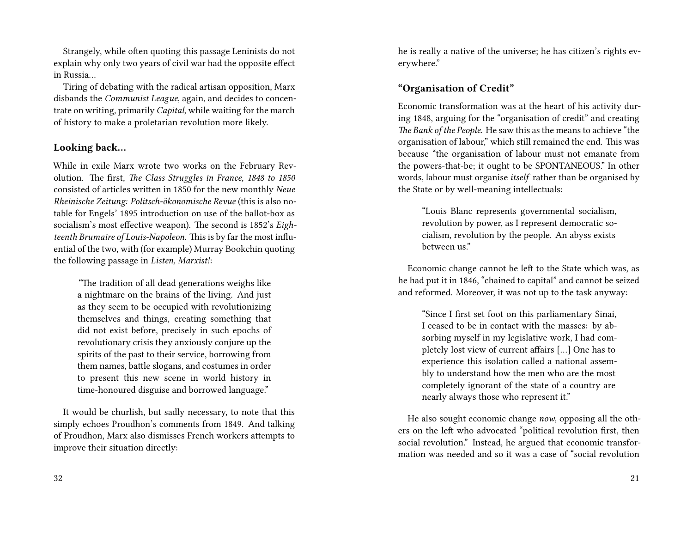Strangely, while often quoting this passage Leninists do not explain why only two years of civil war had the opposite effect in Russia…

Tiring of debating with the radical artisan opposition, Marx disbands the *Communist League*, again, and decides to concentrate on writing, primarily *Capital*, while waiting for the march of history to make a proletarian revolution more likely.

#### **Looking back…**

While in exile Marx wrote two works on the February Revolution. The first, *The Class Struggles in France, 1848 to 1850* consisted of articles written in 1850 for the new monthly *Neue Rheinische Zeitung: Politsch-ökonomische Revue* (this is also notable for Engels' 1895 introduction on use of the ballot-box as socialism's most effective weapon). The second is 1852's *Eighteenth Brumaire of Louis-Napoleon*. This is by far the most influential of the two, with (for example) Murray Bookchin quoting the following passage in *Listen, Marxist!*:

*"*The tradition of all dead generations weighs like a nightmare on the brains of the living. And just as they seem to be occupied with revolutionizing themselves and things, creating something that did not exist before, precisely in such epochs of revolutionary crisis they anxiously conjure up the spirits of the past to their service, borrowing from them names, battle slogans, and costumes in order to present this new scene in world history in time-honoured disguise and borrowed language."

It would be churlish, but sadly necessary, to note that this simply echoes Proudhon's comments from 1849. And talking of Proudhon, Marx also dismisses French workers attempts to improve their situation directly:

32

he is really a native of the universe; he has citizen's rights everywhere."

### **"Organisation of Credit"**

Economic transformation was at the heart of his activity during 1848, arguing for the "organisation of credit" and creating *The Bank of the People*. He saw this as the means to achieve "the organisation of labour," which still remained the end. This was because "the organisation of labour must not emanate from the powers-that-be; it ought to be SPONTANEOUS." In other words, labour must organise *itself* rather than be organised by the State or by well-meaning intellectuals:

"Louis Blanc represents governmental socialism, revolution by power, as I represent democratic socialism, revolution by the people. An abyss exists between us."

Economic change cannot be left to the State which was, as he had put it in 1846, "chained to capital" and cannot be seized and reformed. Moreover, it was not up to the task anyway:

"Since I first set foot on this parliamentary Sinai, I ceased to be in contact with the masses: by absorbing myself in my legislative work, I had completely lost view of current affairs […] One has to experience this isolation called a national assembly to understand how the men who are the most completely ignorant of the state of a country are nearly always those who represent it."

He also sought economic change *now*, opposing all the others on the left who advocated "political revolution first, then social revolution." Instead, he argued that economic transformation was needed and so it was a case of "social revolution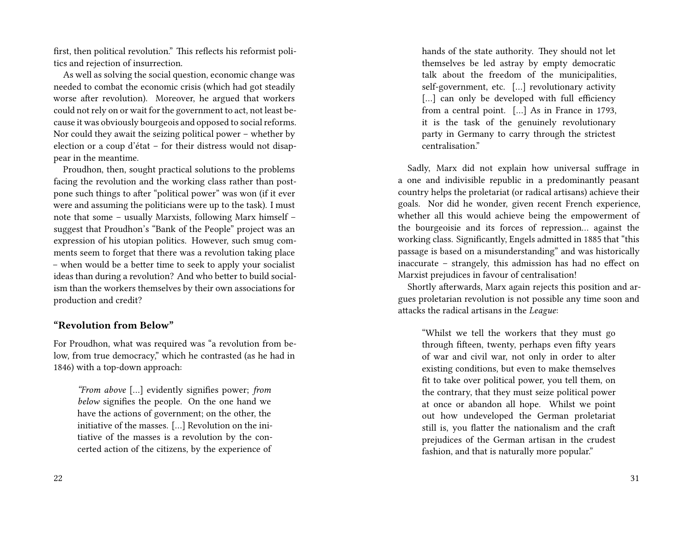first, then political revolution." This reflects his reformist politics and rejection of insurrection.

As well as solving the social question, economic change was needed to combat the economic crisis (which had got steadily worse after revolution). Moreover, he argued that workers could not rely on or wait for the government to act, not least because it was obviously bourgeois and opposed to social reforms. Nor could they await the seizing political power – whether by election or a coup d'état – for their distress would not disappear in the meantime.

Proudhon, then, sought practical solutions to the problems facing the revolution and the working class rather than postpone such things to after "political power" was won (if it ever were and assuming the politicians were up to the task). I must note that some – usually Marxists, following Marx himself – suggest that Proudhon's "Bank of the People" project was an expression of his utopian politics. However, such smug comments seem to forget that there was a revolution taking place – when would be a better time to seek to apply your socialist ideas than during a revolution? And who better to build socialism than the workers themselves by their own associations for production and credit?

#### **"Revolution from Below"**

For Proudhon, what was required was "a revolution from below, from true democracy," which he contrasted (as he had in 1846) with a top-down approach:

*"From above* […] evidently signifies power; *from below* signifies the people. On the one hand we have the actions of government; on the other, the initiative of the masses. […] Revolution on the initiative of the masses is a revolution by the concerted action of the citizens, by the experience of hands of the state authority. They should not let themselves be led astray by empty democratic talk about the freedom of the municipalities, self-government, etc. […] revolutionary activity [...] can only be developed with full efficiency from a central point. […] As in France in 1793, it is the task of the genuinely revolutionary party in Germany to carry through the strictest centralisation."

Sadly, Marx did not explain how universal suffrage in a one and indivisible republic in a predominantly peasant country helps the proletariat (or radical artisans) achieve their goals. Nor did he wonder, given recent French experience, whether all this would achieve being the empowerment of the bourgeoisie and its forces of repression… against the working class. Significantly, Engels admitted in 1885 that "this passage is based on a misunderstanding" and was historically inaccurate – strangely, this admission has had no effect on Marxist prejudices in favour of centralisation!

Shortly afterwards, Marx again rejects this position and argues proletarian revolution is not possible any time soon and attacks the radical artisans in the *League*:

"Whilst we tell the workers that they must go through fifteen, twenty, perhaps even fifty years of war and civil war, not only in order to alter existing conditions, but even to make themselves fit to take over political power, you tell them, on the contrary, that they must seize political power at once or abandon all hope. Whilst we point out how undeveloped the German proletariat still is, you flatter the nationalism and the craft prejudices of the German artisan in the crudest fashion, and that is naturally more popular."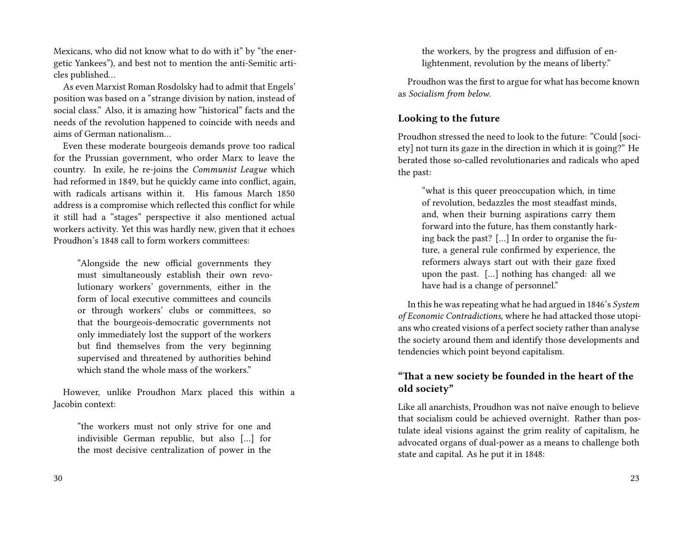Mexicans, who did not know what to do with it" by "the energetic Yankees"), and best not to mention the anti-Semitic articles published…

As even Marxist Roman Rosdolsky had to admit that Engels' position was based on a "strange division by nation, instead of social class." Also, it is amazing how "historical" facts and the needs of the revolution happened to coincide with needs and aims of German nationalism…

Even these moderate bourgeois demands prove too radical for the Prussian government, who order Marx to leave the country. In exile, he re-joins the *Communist League* which had reformed in 1849, but he quickly came into conflict, again, with radicals artisans within it. His famous March 1850 address is a compromise which reflected this conflict for while it still had a "stages" perspective it also mentioned actual workers activity. Yet this was hardly new, given that it echoes Proudhon's 1848 call to form workers committees:

"Alongside the new official governments they must simultaneously establish their own revolutionary workers' governments, either in the form of local executive committees and councils or through workers' clubs or committees, so that the bourgeois-democratic governments not only immediately lost the support of the workers but find themselves from the very beginning supervised and threatened by authorities behind which stand the whole mass of the workers"

However, unlike Proudhon Marx placed this within a Jacobin context:

"the workers must not only strive for one and indivisible German republic, but also […] for the most decisive centralization of power in the

the workers, by the progress and diffusion of enlightenment, revolution by the means of liberty."

Proudhon was the first to argue for what has become known as *Socialism from below*.

### **Looking to the future**

Proudhon stressed the need to look to the future: "Could [society] not turn its gaze in the direction in which it is going?" He berated those so-called revolutionaries and radicals who aped the past:

"what is this queer preoccupation which, in time of revolution, bedazzles the most steadfast minds, and, when their burning aspirations carry them forward into the future, has them constantly harking back the past? […] In order to organise the future, a general rule confirmed by experience, the reformers always start out with their gaze fixed upon the past. […] nothing has changed: all we have had is a change of personnel."

In this he was repeating what he had argued in 1846's *System of Economic Contradictions,* where he had attacked those utopians who created visions of a perfect society rather than analyse the society around them and identify those developments and tendencies which point beyond capitalism.

### **"That a new society be founded in the heart of the old society"**

Like all anarchists, Proudhon was not naïve enough to believe that socialism could be achieved overnight. Rather than postulate ideal visions against the grim reality of capitalism, he advocated organs of dual-power as a means to challenge both state and capital. As he put it in 1848: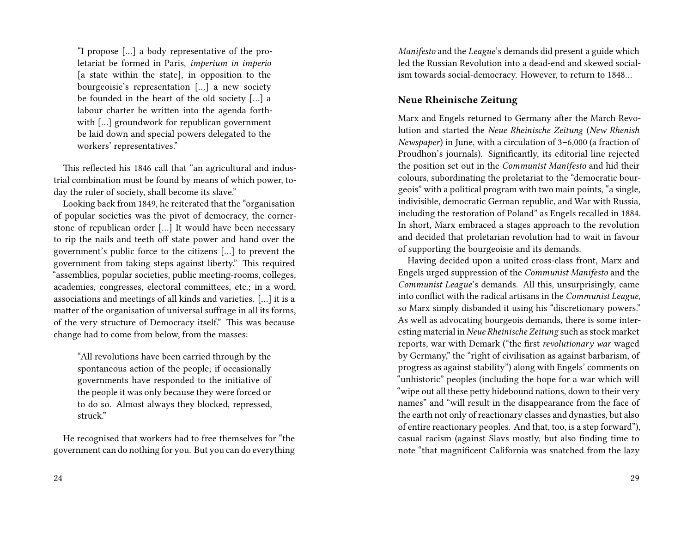"I propose […] a body representative of the proletariat be formed in Paris, *imperium in imperio* [a state within the state]*,* in opposition to the bourgeoisie's representation […] a new society be founded in the heart of the old society […] a labour charter be written into the agenda forthwith […] groundwork for republican government be laid down and special powers delegated to the workers' representatives."

This reflected his 1846 call that "an agricultural and industrial combination must be found by means of which power, today the ruler of society, shall become its slave."

Looking back from 1849, he reiterated that the "organisation of popular societies was the pivot of democracy, the cornerstone of republican order […] It would have been necessary to rip the nails and teeth off state power and hand over the government's public force to the citizens […] to prevent the government from taking steps against liberty." This required "assemblies, popular societies, public meeting-rooms, colleges, academies, congresses, electoral committees, etc.; in a word, associations and meetings of all kinds and varieties. […] it is a matter of the organisation of universal suffrage in all its forms, of the very structure of Democracy itself." This was because change had to come from below, from the masses:

"All revolutions have been carried through by the spontaneous action of the people; if occasionally governments have responded to the initiative of the people it was only because they were forced or to do so. Almost always they blocked, repressed, struck."

He recognised that workers had to free themselves for "the government can do nothing for you. But you can do everything *Manifesto* and the *League*'s demands did present a guide which led the Russian Revolution into a dead-end and skewed socialism towards social-democracy. However, to return to 1848…

### **Neue Rheinische Zeitung**

Marx and Engels returned to Germany after the March Revolution and started the *Neue Rheinische Zeitung* (*New Rhenish Newspaper*) in June, with a circulation of 3–6,000 (a fraction of Proudhon's journals). Significantly, its editorial line rejected the position set out in the *Communist Manifesto* and hid their colours, subordinating the proletariat to the "democratic bourgeois" with a political program with two main points, "a single, indivisible, democratic German republic, and War with Russia, including the restoration of Poland" as Engels recalled in 1884. In short, Marx embraced a stages approach to the revolution and decided that proletarian revolution had to wait in favour of supporting the bourgeoisie and its demands.

Having decided upon a united cross-class front, Marx and Engels urged suppression of the *Communist Manifesto* and the *Communist League*'s demands. All this, unsurprisingly, came into conflict with the radical artisans in the *Communist League*, so Marx simply disbanded it using his "discretionary powers." As well as advocating bourgeois demands, there is some interesting material in *Neue Rheinische Zeitung* such as stock market reports, war with Demark ("the first *revolutionary war* waged by Germany," the "right of civilisation as against barbarism, of progress as against stability") along with Engels' comments on "unhistoric" peoples (including the hope for a war which will "wipe out all these petty hidebound nations, down to their very names" and "will result in the disappearance from the face of the earth not only of reactionary classes and dynasties, but also of entire reactionary peoples. And that, too, is a step forward"), casual racism (against Slavs mostly, but also finding time to note "that magnificent California was snatched from the lazy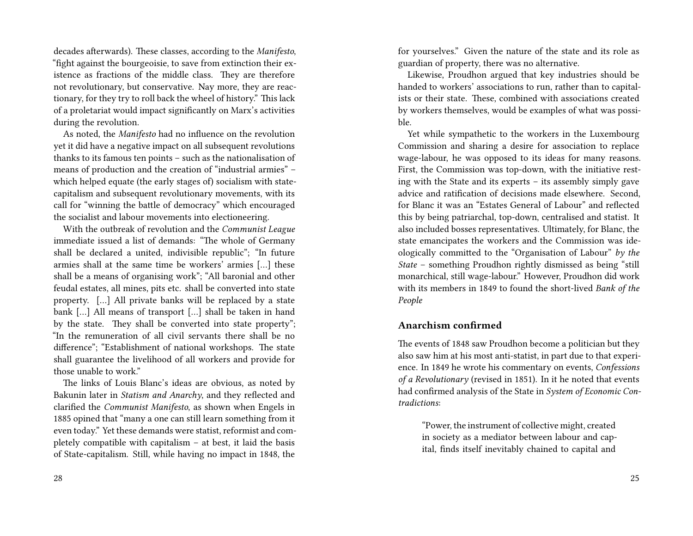decades afterwards). These classes, according to the *Manifesto*, "fight against the bourgeoisie, to save from extinction their existence as fractions of the middle class. They are therefore not revolutionary, but conservative. Nay more, they are reactionary, for they try to roll back the wheel of history." This lack of a proletariat would impact significantly on Marx's activities during the revolution.

As noted, the *Manifesto* had no influence on the revolution yet it did have a negative impact on all subsequent revolutions thanks to its famous ten points – such as the nationalisation of means of production and the creation of "industrial armies" – which helped equate (the early stages of) socialism with statecapitalism and subsequent revolutionary movements, with its call for "winning the battle of democracy" which encouraged the socialist and labour movements into electioneering.

With the outbreak of revolution and the *Communist League* immediate issued a list of demands: "The whole of Germany shall be declared a united, indivisible republic"; "In future armies shall at the same time be workers' armies […] these shall be a means of organising work"; "All baronial and other feudal estates, all mines, pits etc. shall be converted into state property. […] All private banks will be replaced by a state bank […] All means of transport […] shall be taken in hand by the state. They shall be converted into state property"; "In the remuneration of all civil servants there shall be no difference"; "Establishment of national workshops. The state shall guarantee the livelihood of all workers and provide for those unable to work"

The links of Louis Blanc's ideas are obvious, as noted by Bakunin later in *Statism and Anarchy*, and they reflected and clarified the *Communist Manifesto*, as shown when Engels in 1885 opined that "many a one can still learn something from it even today." Yet these demands were statist, reformist and completely compatible with capitalism – at best, it laid the basis of State-capitalism. Still, while having no impact in 1848, the

for yourselves." Given the nature of the state and its role as guardian of property, there was no alternative.

Likewise, Proudhon argued that key industries should be handed to workers' associations to run, rather than to capitalists or their state. These, combined with associations created by workers themselves, would be examples of what was possible.

Yet while sympathetic to the workers in the Luxembourg Commission and sharing a desire for association to replace wage-labour, he was opposed to its ideas for many reasons. First, the Commission was top-down, with the initiative resting with the State and its experts – its assembly simply gave advice and ratification of decisions made elsewhere. Second, for Blanc it was an "Estates General of Labour" and reflected this by being patriarchal, top-down, centralised and statist. It also included bosses representatives. Ultimately, for Blanc, the state emancipates the workers and the Commission was ideologically committed to the "Organisation of Labour" *by the State* – something Proudhon rightly dismissed as being "still monarchical, still wage-labour." However, Proudhon did work with its members in 1849 to found the short-lived *Bank of the People*

#### **Anarchism confirmed**

The events of 1848 saw Proudhon become a politician but they also saw him at his most anti-statist, in part due to that experience. In 1849 he wrote his commentary on events, *Confessions of a Revolutionary* (revised in 1851). In it he noted that events had confirmed analysis of the State in *System of Economic Contradictions*:

"Power, the instrument of collective might, created in society as a mediator between labour and capital, finds itself inevitably chained to capital and